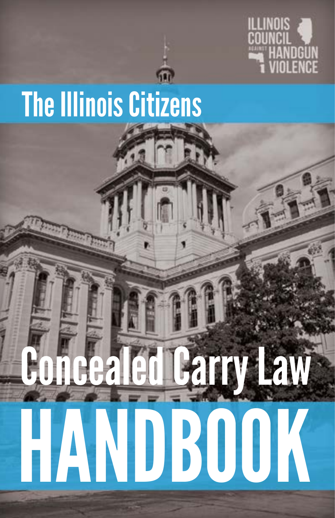

# The Illinois Citizens

# HANDBOOK

ealed Carry Law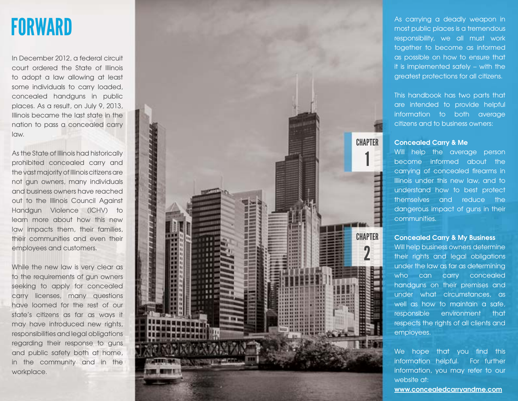# FORWARD

In December 2012, a federal circuit court ordered the State of Illinois to adopt a law allowing at least some individuals to carry loaded, concealed handguns in public places. As a result, on July 9, 2013, Illinois became the last state in the nation to pass a concealed carry law.

As the State of Illinois had historically prohibited concealed carry and the vast majority of Illinois citizens are not gun owners, many individuals and business owners have reached out to the Illinois Council Against Handgun Violence (ICHV) to learn more about how this new law impacts them, their families, their communities and even their employees and customers.

While the new law is very clear as to the requirements of gun owners seeking to apply for concealed carry licenses, many questions have loomed for the rest of our state's citizens as far as ways it may have introduced new rights, responsibilities and legal obligations regarding their response to guns and public safety both at home, in the community and in the workplace.



As carrying a deadly weapon in most public places is a tremendous responsibility, we all must work together to become as informed as possible on how to ensure that it is implemented safely – with the greatest protections for all citizens.

This handbook has two parts that are intended to provide helpful information to both average citizens and to business owners:

#### **Concealed Carry & Me**

Will help the average person become informed about the carrying of concealed firearms in Illinois under this new law, and to understand how to best protect themselves and reduce the dangerous impact of guns in their communities.

#### **Concealed Carry & My Business**

Will help business owners determine their rights and legal obligations under the law as far as determining who can carry concealed handguns on their premises and under what circumstances, as well as how to maintain a safe, responsible environment that respects the rights of all clients and employees.

We hope that you find this information helpful. For further information, you may refer to our website at:

**www.concealedcarryandme.com**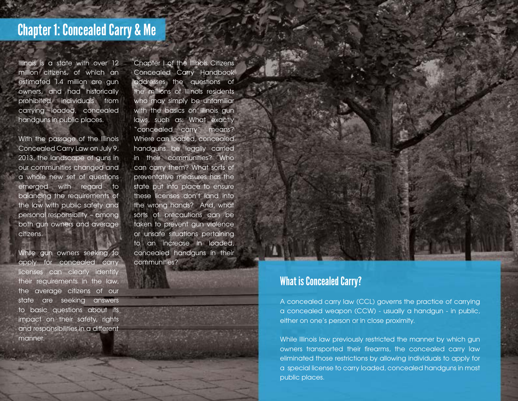# Chapter 1: Concealed Carry & Me

Illinois is a state with over 12 million citizens, of which an estimated 1.4 million are gun owners, and had historically prohibited individuals from carrying loaded, concealed handguns in public places.

With the passage of the Illinois Concealed Carry Law on July 9, 2013, the landscape of guns in our communities changed and a whole new set of questions emerged with regard to balancing the requirements of the law with public safety and personal responsibility – among both gun owners and average citizens.

While gun owners seeking to apply for concealed carry licenses can clearly identify their requirements in the law, the average citizens of our state are seeking answers to basic questions about its impact on their safety, rights and responsibilities in a different manner.

Chapter I of the Illinois Citizens Concealed Carry Handbook addresses the questions of the millions of Illinois residents who may simply be unfamiliar with the basics on Illinois gun laws, such as: What exactly "concealed carry" means? Where can loaded, concealed handguns be legally carried in their communities? Who can carry them? What sorts of preventative measures has the state put into place to ensure these licenses don't land into the wrong hands? And, what sorts of precautions can be taken to prevent gun violence or unsafe situations pertaining to an increase in loaded, concealed handguns in their communities?

#### What is Concealed Carry?

A concealed carry law (CCL) governs the practice of carrying a concealed weapon (CCW) - usually a handgun - in public, either on one's person or in close proximity.

While Illinois law previously restricted the manner by which gun owners transported their firearms, the concealed carry law eliminated those restrictions by allowing individuals to apply for a special license to carry loaded, concealed handguns in most public places.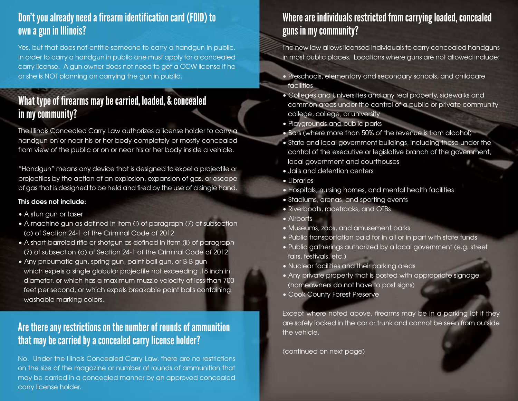#### Don't you already need a firearm identification card (FOID) to own a gun in Illinois?

Yes, but that does not entitle someone to carry a handgun in public. In order to carry a handgun in public one must apply for a concealed carry license. A gun owner does not need to get a CCW license if he or she is NOT planning on carrying the gun in public.

## What type of firearms may be carried, loaded, & concealed in my community?

The Illinois Concealed Carry Law authorizes a license holder to carry a handgun on or near his or her body completely or mostly concealed from view of the public or on or near his or her body inside a vehicle.

"Handgun" means any device that is designed to expel a projectile or projectiles by the action of an explosion, expansion of gas, or escape of gas that is designed to be held and fired by the use of a single hand.

#### **This does not include:**

- A stun gun or taser
- A machine gun as defined in item (i) of paragraph (7) of subsection (a) of Section 24-1 of the Criminal Code of 2012
- A short-barreled rifle or shotgun as defined in item (ii) of paragraph (7) of subsection (a) of Section 24-1 of the Criminal Code of 2012
- Any pneumatic gun, spring gun, paint ball gun, or B-B gun which expels a single globular projectile not exceeding .18 inch in diameter, or which has a maximum muzzle velocity of less than 700 feet per second, or which expels breakable paint balls containing washable marking colors.

### Are there any restrictions on the number of rounds of ammunition that may be carried by a concealed carry license holder?

No. Under the Illinois Concealed Carry Law, there are no restrictions on the size of the magazine or number of rounds of ammunition that may be carried in a concealed manner by an approved concealed carry license holder.

# Where are individuals restricted from carrying loaded, concealed guns in my community?

The new law allows licensed individuals to carry concealed handguns in most public places. Locations where guns are not allowed include:

- Preschools, elementary and secondary schools, and childcare facilities
- Colleges and Universities and any real property, sidewalks and common areas under the control of a public or private community college, college, or university
- Playgrounds and public parks
- Bars (where more than 50% of the revenue is from alcohol)
- State and local government buildings, including those under the control of the executive or legislative branch of the government, local government and courthouses
- Jails and detention centers
- Libraries
- Hospitals, nursing homes, and mental health facilities
- Stadiums, arenas, and sporting events
- Riverboats, racetracks, and OTBs
- Airports
- Museums, zoos, and amusement parks
- Public transportation paid for in all or in part with state funds
- Public gatherings authorized by a local government (e.g. street fairs, festivals, etc.)
- Nuclear facilities and their parking areas
- Any private property that is posted with appropriate signage (homeowners do not have to post signs)
- Cook County Forest Preserve

Except where noted above, firearms may be in a parking lot if they are safely locked in the car or trunk and cannot be seen from outside the vehicle.

(continued on next page)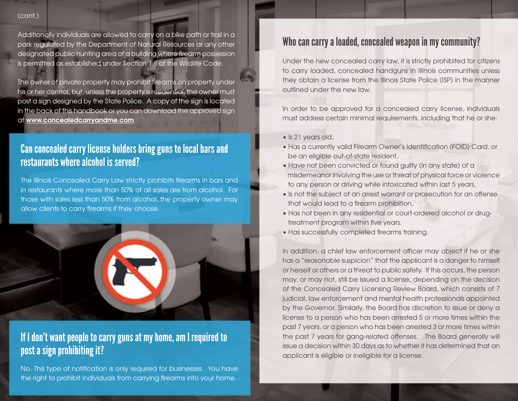#### (cont.)

Additionally individuals are allowed to carry on a bike path or trail in a park regulated by the Department of Natural Resources or any other designated public hunting area of a building where firearm possession is permitted as established under Section 1.8 of the Wildlife Code.

The owner of private property may prohibit firearms on property under his or her control, but, unless the property is residential, the owner must post a sign designed by the State Police. A copy of the sign is located in the back of this handbook or you can download the approved sign at **www.concealedcarryandme.com**.

#### Can concealed carry license holders bring guns to local bars and restaurants where alcohol is served?

The Illinois Concealed Carry Law strictly prohibits firearms in bars and in restaurants where more than 50% of all sales are from alcohol. For those with sales less than 50% from alcohol, the property owner may allow clients to carry firearms if they choose.



#### If I don't want people to carry guns at my home, am I required to post a sign prohibiting it?

No. This type of notification is only required for businesses. You have the right to prohibit individuals from carrying firearms into your home.

## Who can carry a loaded, concealed weapon in my community?

Under the new concealed carry law, it is strictly prohibited for citizens to carry loaded, concealed handguns in Illinois communities unless they obtain a license from the Illinois State Police (ISP) in the manner outlined under the new law.

In order to be approved for a concealed carry license, individuals must address certain minimal requirements, including that he or she:

- Is 21 years old,
- Has a currently valid Firearm Owner's Identification (FOID) Card, or be an eligible out-of-state resident,
- Have not been convicted or found guilty (in any state) of a misdemeanor involving the use or threat of physical force or violence to any person or driving while intoxicated within last 5 years,
- Is not the subject of an arrest warrant or prosecution for an offense that would lead to a firearm prohibition,
- Has not been in any residential or court-ordered alcohol or drug treatment program within five years.
- Has successfully completed firearms training.

In addition, a chief law enforcement officer may object if he or she has a "reasonable suspicion" that the applicant is a danger to himself or herself or others or a threat to public safety. If this occurs, the person may, or may not, still be issued a license, depending on the decision of the Concealed Carry Licensing Review Board, which consists of 7 judicial, law enforcement and mental health professionals appointed by the Governor. Similarly, the Board has discretion to issue or deny a license to a person who has been arrested 5 or more times within the past 7 years, or a person who has been arrested 3 or more times within the past 7 years for gang-related offenses. The Board generally will issue a decision within 30 days as to whether it has determined that an applicant is eligible or ineligible for a license.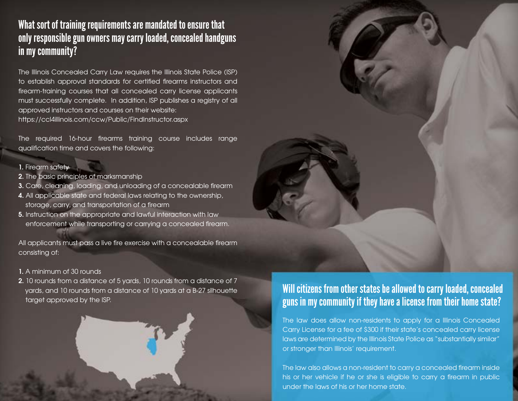## What sort of training requirements are mandated to ensure that only responsible gun owners may carry loaded, concealed handguns in my community?

The Illinois Concealed Carry Law requires the Illinois State Police (ISP) to establish approval standards for certified firearms instructors and firearm-training courses that all concealed carry license applicants must successfully complete. In addition, ISP publishes a registry of all approved instructors and courses on their website: https://ccl4illinois.com/ccw/Public/FindInstructor.aspx

The required 16-hour firearms training course includes range qualification time and covers the following:

#### **1.** Firearm safety

- **2.** The basic principles of marksmanship
- **3.** Care, cleaning, loading, and unloading of a concealable firearm
- **4.** All applicable state and federal laws relating to the ownership, storage, carry, and transportation of a firearm
- **5.** Instruction on the appropriate and lawful interaction with law enforcement while transporting or carrying a concealed firearm.

All applicants must pass a live fire exercise with a concealable firearm consisting of:

#### **1.** A minimum of 30 rounds

**2.** 10 rounds from a distance of 5 yards, 10 rounds from a distance of 7 yards, and 10 rounds from a distance of 10 yards at a B-27 silhouette target approved by the ISP.

# Will citizens from other states be allowed to carry loaded, concealed guns in my community if they have a license from their home state?

The law does allow non-residents to apply for a Illinois Concealed Carry License for a fee of \$300 if their state's concealed carry license laws are determined by the Illinois State Police as "substantially similar" or stronger than Illinois' requirement.

The law also allows a non-resident to carry a concealed firearm inside his or her vehicle if he or she is eligible to carry a firearm in public under the laws of his or her home state.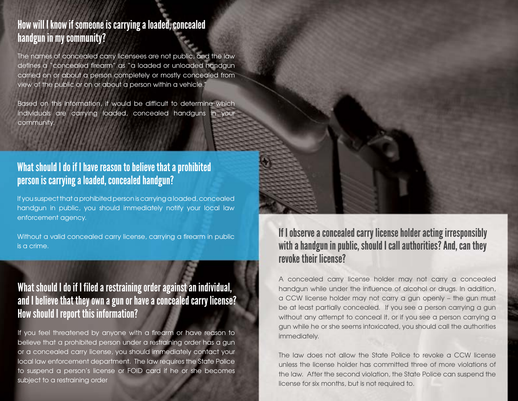#### How will I know if someone is carrying a loaded, concealed handgun in my community?

The names of concealed carry licensees are not public, and the law defines a "concealed firearm" as "a loaded or unloaded handgun carried on or about a person completely or mostly concealed from view of the public or on or about a person within a vehicle."

Based on this information, it would be difficult to determine which individuals are carrying loaded, concealed handguns in your community.

#### What should I do if I have reason to believe that a prohibited person is carrying a loaded, concealed handgun?

If you suspect that a prohibited person is carrying a loaded, concealed handgun in public, you should immediately notify your local law enforcement agency.

Without a valid concealed carry license, carrying a firearm in public is a crime.

## What should I do if I filed a restraining order against an individual, and I believe that they own a gun or have a concealed carry license? How should I report this information?

If you feel threatened by anyone with a firearm or have reason to believe that a prohibited person under a restraining order has a gun or a concealed carry license, you should immediately contact your local law enforcement department. The law requires the State Police to suspend a person's license or FOID card if he or she becomes subject to a restraining order

If I observe a concealed carry license holder acting irresponsibly with a handgun in public, should I call authorities? And, can they revoke their license?

A concealed carry license holder may not carry a concealed handgun while under the influence of alcohol or drugs. In addition, a CCW license holder may not carry a gun openly – the gun must be at least partially concealed. If you see a person carrying a gun without any attempt to conceal it, or if you see a person carrying a gun while he or she seems intoxicated, you should call the authorities immediately.

The law does not allow the State Police to revoke a CCW license unless the license holder has committed three of more violations of the law. After the second violation, the State Police can suspend the license for six months, but is not required to.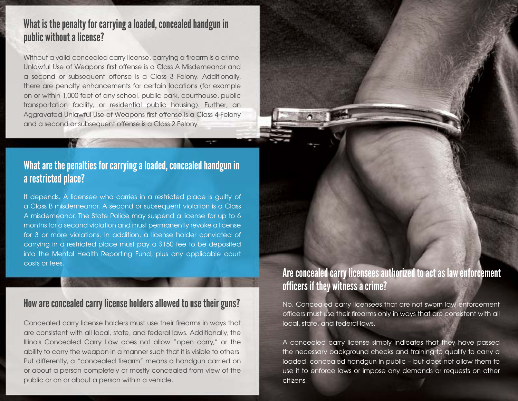#### What is the penalty for carrying a loaded, concealed handgun in public without a license?

Without a valid concealed carry license, carrying a firearm is a crime. Unlawful Use of Weapons first offense is a Class A Misdemeanor and a second or subsequent offense is a Class 3 Felony. Additionally, there are penalty enhancements for certain locations (for example on or within 1,000 feet of any school, public park, courthouse, public transportation facility, or residential public housing). Further, an Aggravated Unlawful Use of Weapons first offense is a Class 4 Felony and a second or subsequent offense is a Class 2 Felony.

#### What are the penalties for carrying a loaded, concealed handgun in a restricted place?

It depends. A licensee who carries in a restricted place is guilty of a Class B misdemeanor. A second or subsequent violation is a Class A misdemeanor. The State Police may suspend a license for up to 6 months for a second violation and must permanently revoke a license for 3 or more violations. In addition, a license holder convicted of carrying in a restricted place must pay a \$150 fee to be deposited into the Mental Health Reporting Fund, plus any applicable court costs or fees.

#### How are concealed carry license holders allowed to use their guns?

Concealed carry license holders must use their firearms in ways that are consistent with all local, state, and federal laws. Additionally, the Illinois Concealed Carry Law does not allow "open carry," or the ability to carry the weapon in a manner such that it is visible to others. Put differently, a "concealed firearm" means a handgun carried on or about a person completely or mostly concealed from view of the public or on or about a person within a vehicle.

# Are concealed carry licensees authorized to act as law enforcement officers if they witness a crime?

No. Concealed carry licensees that are not sworn law enforcement officers must use their firearms only in ways that are consistent with all local, state, and federal laws.

A concealed carry license simply indicates that they have passed the necessary background checks and training to qualify to carry a loaded, concealed handgun in public – but does not allow them to use it to enforce laws or impose any demands or requests on other citizens.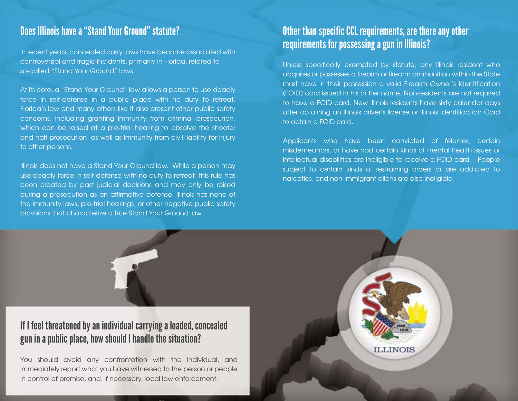controversial and tragic incidents, primarily in Florida, related to so-called "Stand Your Ground" laws.

At its core, a "Stand Your Ground" law allows a person to use deadly force in self-defense in a public place with no duty to retreat. Florida's law and many others like it also present other public safety concerns, including granting immunity from criminal prosecution, which can be raised at a pre-trial hearing to absolve the shooter and halt prosecution, as well as immunity from civil liability for injury to other persons.

Illinois does not have a Stand Your Ground law. While a person may use deadly force in self-defense with no duty to retreat, this rule has been created by past judicial decisions and may only be raised during a prosecution as an affirmative defense. Illinois has none of the immunity laws, pre-trial hearings, or other negative public safety provisions that characterize a true Stand Your Ground law.

# Does Illinois have a "Stand Your Ground" statute? **Other than specific CCL requirements, are there any other** In recent years, concealed carry laws have become associated with **Illinois a gun in Illinois?**<br>In recent years, concealed carry laws have become associated with

Unless specifically exempted by statute, any Illinois resident who acquires or possesses a firearm or firearm ammunition within the State must have in their possession a valid Firearm Owner's Identification (FOID) card issued in his or her name. Non-residents are not required to have a FOID card. New Illinois residents have sixty calendar days after obtaining an Illinois driver's license or Illinois Identification Card to obtain a FOID card.

Applicants who have been convicted of felonies, certain misdemeanors, or have had certain kinds of mental health issues or intellectual disabilities are ineligible to receive a FOID card. People subject to certain kinds of restraining orders or are addicted to narcotics, and non-immigrant aliens are also ineligible.



gun in a public place, how should I handle the situation?

You should avoid any confrontation with the individual, and immediately report what you have witnessed to the person or people in control of premise, and, if necessary, local law enforcement.

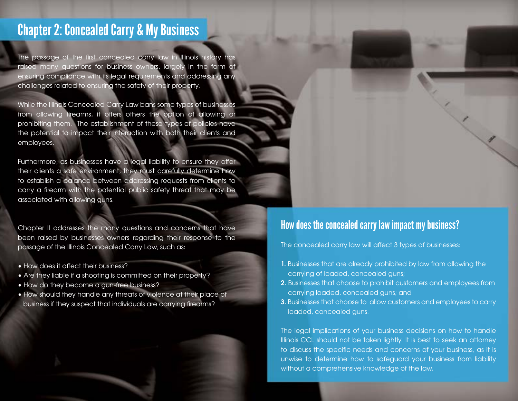# Chapter 2: Concealed Carry & My Business

The passage of the first concealed carry law in Illinois history has raised many questions for business owners, largely in the form of ensuring compliance with its legal requirements and addressing any challenges related to ensuring the safety of their property.

While the Illinois Concealed Carry Law bans some types of businesses from allowing firearms, it offers others the option of allowing or prohibiting them. The establishment of these types of policies have the potential to impact their interaction with both their clients and employees.

Furthermore, as businesses have a legal liability to ensure they offer their clients a safe environment, they must carefully determine how to establish a balance between addressing requests from clients to carry a firearm with the potential public safety threat that may be associated with allowing guns.

Chapter II addresses the many questions and concerns that have been raised by businesses owners regarding their response to the passage of the Illinois Concealed Carry Law, such as:

- How does it affect their business?
- Are they liable if a shooting is committed on their property?
- How do they become a gun-free business?
- How should they handle any threats of violence at their place of business if they suspect that individuals are carrying firearms?

#### How does the concealed carry law impact my business?

The concealed carry law will affect 3 types of businesses:

- **1.** Businesses that are already prohibited by law from allowing the carrying of loaded, concealed guns;
- **2.** Businesses that choose to prohibit customers and employees from carrying loaded, concealed guns; and
- **3.** Businesses that choose to allow customers and employees to carry loaded, concealed guns.

The legal implications of your business decisions on how to handle Illinois CCL should not be taken lightly. It is best to seek an attorney to discuss the specific needs and concerns of your business, as it is unwise to determine how to safeguard your business from liability without a comprehensive knowledge of the law.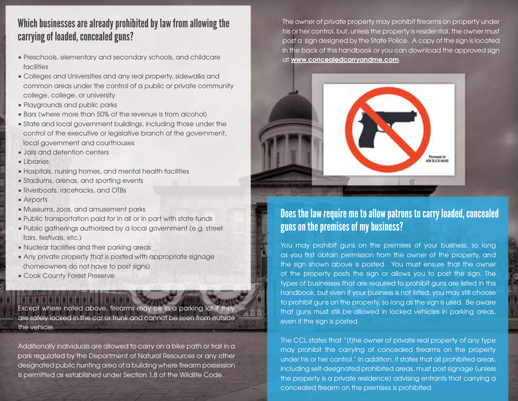#### Which businesses are already prohibited by law from allowing the carrying of loaded, concealed guns?

- Preschools, elementary and secondary schools, and childcare facilities
- Colleges and Universities and any real property, sidewalks and common areas under the control of a public or private community college, college, or university
- Playgrounds and public parks
- Bars (where more than 50% of the revenue is from alcohol)
- State and local government buildings, including those under the control of the executive or legislative branch of the government, local government and courthouses
- Jails and detention centers
- Libraries
- Hospitals, nursing homes, and mental health facilities
- Stadiums, arenas, and sporting events
- Riverboats, racetracks, and OTBs
- Airports
- Museums, zoos, and amusement parks
- Public transportation paid for in all or in part with state funds
- Public gatherings authorized by a local government (e.g. street fairs, festivals, etc.)
- Nuclear facilities and their parking areas
- Any private property that is posted with appropriate signage (homeowners do not have to post signs)
- Cook County Forest Preserve

Except where noted above, firearms may be in a parking lot if they are safely locked in the car or trunk and cannot be seen from outside the vehicle.

Additionally individuals are allowed to carry on a bike path or trail in a park regulated by the Department of Natural Resources or any other designated public hunting area of a building where firearm possession is permitted as established under Section 1.8 of the Wildlife Code.

The owner of private property may prohibit firearms on property under his or her control, but, unless the property is residential, the owner must post a sign designed by the State Police. A copy of the sign is located in the back of this handbook or you can download the approved sign at **www.concealedcarryandme.com**.



### Does the law require me to allow patrons to carry loaded, concealed guns on the premises of my business?

You may prohibit guns on the premises of your business, so long as you first obtain permission from the owner of the property, and the sign shown above is posted. You must ensure that the owner of the property posts the sign or allows you to post the sign. The types of businesses that are required to prohibit guns are listed in this handbook, but even if your business is not listed, you may still choose to prohibit guns on the property, so long as the sign is used. Be aware that guns must still be allowed in locked vehicles in parking areas, even if the sign is posted.

The CCL states that "(t)he owner of private real property of any type may prohibit the carrying of concealed firearms on the property under his or her control." In addition, it states that all prohibited areas, including self-designated prohibited areas, must post signage (unless the property is a private residence) advising entrants that carrying a concealed firearm on the premises is prohibited.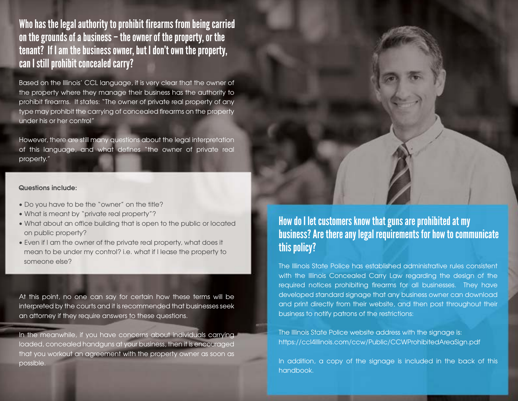Who has the legal authority to prohibit firearms from being carried on the grounds of a business – the owner of the property, or the tenant? If I am the business owner, but I don't own the property, can I still prohibit concealed carry?

Based on the Illinois' CCL language, it is very clear that the owner of the property where they manage their business has the authority to prohibit firearms. It states: "The owner of private real property of any type may prohibit the carrying of concealed firearms on the property under his or her control"

However, there are still many questions about the legal interpretation of this language, and what defines "the owner of private real property."

#### **Questions include:**

- Do you have to be the "owner" on the title?
- What is meant by "private real property"?
- What about an office building that is open to the public or located on public property?
- Even if I am the owner of the private real property, what does it mean to be under my control? i.e. what if I lease the property to someone else?

At this point, no one can say for certain how these terms will be interpreted by the courts and it is recommended that businesses seek an attorney if they require answers to these questions.

In the meanwhile, if you have concerns about individuals carrying loaded, concealed handguns at your business, then it is encouraged that you workout an agreement with the property owner as soon as possible.



The Illinois State Police has established administrative rules consistent with the Illinois Concealed Carry Law regarding the design of the required notices prohibiting firearms for all businesses. They have developed standard signage that any business owner can download and print directly from their website, and then post throughout their business to notify patrons of the restrictions:

The Illinois State Police website address with the signage is: https://ccl4illinois.com/ccw/Public/CCWProhibitedAreaSign.pdf

In addition, a copy of the signage is included in the back of this handbook.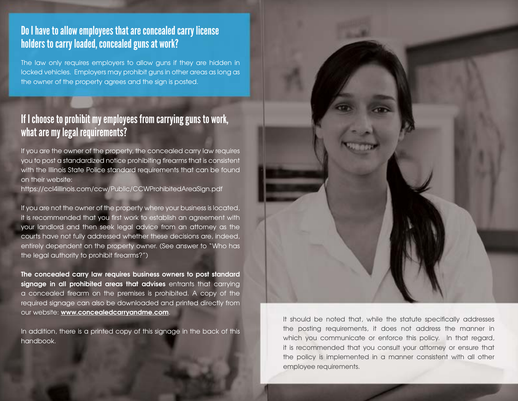#### Do I have to allow employees that are concealed carry license holders to carry loaded, concealed guns at work?

The law only requires employers to allow guns if they are hidden in locked vehicles. Employers may prohibit guns in other areas as long as the owner of the property agrees and the sign is posted.

#### If I choose to prohibit my employees from carrying guns to work, what are my legal requirements?

If you are the owner of the property, the concealed carry law requires you to post a standardized notice prohibiting firearms that is consistent with the Illinois State Police standard requirements that can be found on their website:

https://ccl4illinois.com/ccw/Public/CCWProhibitedAreaSign.pdf

If you are not the owner of the property where your business is located, it is recommended that you first work to establish an agreement with your landlord and then seek legal advice from an attorney as the courts have not fully addressed whether these decisions are, indeed, entirely dependent on the property owner. (See answer to "Who has the legal authority to prohibit firearms?")

**The concealed carry law requires business owners to post standard signage in all prohibited areas that advises** entrants that carrying a concealed firearm on the premises is prohibited. A copy of the required signage can also be downloaded and printed directly from our website: **www.concealedcarryandme.com**.

In addition, there is a printed copy of this signage in the back of this handbook.



It should be noted that, while the statute specifically addresses the posting requirements, it does not address the manner in which you communicate or enforce this policy. In that regard, it is recommended that you consult your attorney or ensure that the policy is implemented in a manner consistent with all other employee requirements.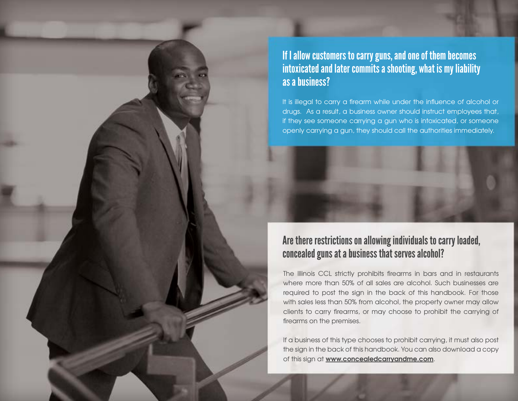If I allow customers to carry guns, and one of them becomes intoxicated and later commits a shooting, what is my liability as a business?

It is illegal to carry a firearm while under the influence of alcohol or drugs. As a result, a business owner should instruct employees that, if they see someone carrying a gun who is intoxicated, or someone openly carrying a gun, they should call the authorities immediately.

#### Are there restrictions on allowing individuals to carry loaded, concealed guns at a business that serves alcohol?

The Illinois CCL strictly prohibits firearms in bars and in restaurants where more than 50% of all sales are alcohol. Such businesses are required to post the sign in the back of this handbook. For those with sales less than 50% from alcohol, the property owner may allow clients to carry firearms, or may choose to prohibit the carrying of firearms on the premises.

If a business of this type chooses to prohibit carrying, it must also post the sign in the back of this handbook. You can also download a copy of this sign at **www.concealedcarryandme.com**.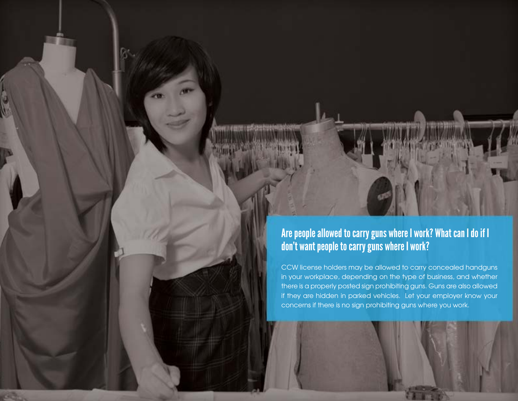

CCW license holders may be allowed to carry concealed handguns in your workplace, depending on the type of business, and whether there is a properly posted sign prohibiting guns. Guns are also allowed if they are hidden in parked vehicles. Let your employer know your concerns if there is no sign prohibiting guns where you work.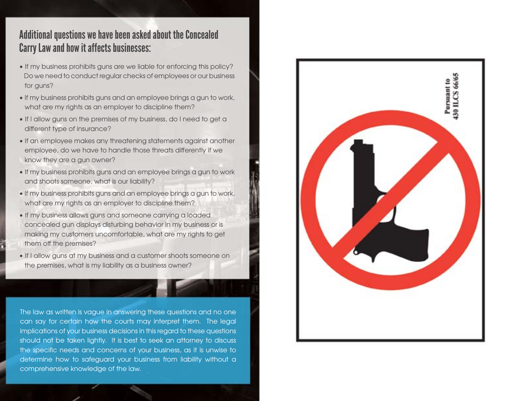#### Additional questions we have been asked about the Concealed Carry Law and how it affects businesses:

- If my business prohibits guns are we liable for enforcing this policy? Do we need to conduct regular checks of employees or our business for guns?
- If my business prohibits guns and an employee brings a gun to work, what are my rights as an employer to discipline them?
- If I allow guns on the premises of my business, do I need to get a different type of insurance?
- If an employee makes any threatening statements against another employee, do we have to handle those threats differently if we know they are a gun owner?
- If my business prohibits guns and an employee brings a gun to work and shoots someone, what is our liability?
- If my business prohibits guns and an employee brings a gun to work, what are my rights as an employer to discipline them?
- If my business allows guns and someone carrying a loaded concealed gun displays disturbing behavior in my business or is making my customers uncomfortable, what are my rights to get them off the premises?
- If I allow guns at my business and a customer shoots someone on the premises, what is my liability as a business owner?

The law as written is vague in answering these questions and no one can say for certain how the courts may interpret them. The legal implications of your business decisions in this regard to these questions should not be taken lightly. It is best to seek an attorney to discuss the specific needs and concerns of your business, as it is unwise to determine how to safeguard your business from liability without a comprehensive knowledge of the law.